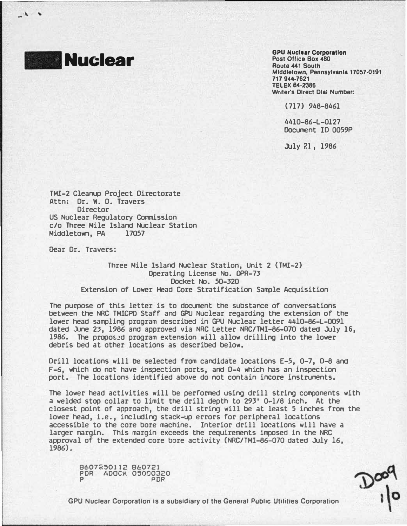

 $\mathcal{N}$ 

GPU Nuclear Corporation Post Ofllce Box 480 Route 441 South Middletown, Pennsylvania 17057·0191 717 944-7621 TELEX 84·2386 Writer's Direct Dial Number.

(717) 948-8461

4410-86-L-0127 Document ID 0059P

.l.Jly 21, 1986

TMI-2 Cleanup Project Directorate Attn: Dr. w. D. Travers **Director** US Nuclear Regulatory Commission c/o Three Mile Island Nuclear Station Middletown, PA 17057

Dear Dr. Travers:

Three Mile Island Nuclear Station, Unit 2 (TMI-2) Operating License No. DPR-73 Docket No. 50-320 Extension of Lower Head Core Stratification Sample Acquisition

The purpose of this letter is to document the substance of conversations between the NRC TMICPD Staff and GPU Nuclear regarding the extension of the lower head sampling program described in GPU Nuclear letter 4410-86-L-0091 dated June 23, 1986 and approved via NRC Letter NRC/TMI-86-070 dated July 16, 1986. The proposed program extension will allow drilling into the lower debris bed at other locations as described below.

Drill locations will be selected from candidate locations E-5, 0-7, D-8 and F-6, which do not have inspection ports, and D-4 which has an inspection port. The locations identified above do not contain incore instruments.

The lower head activities will be performed using drill string components with a welded stop collar to limit the drill depth to 293' 0-l/8 inch. At the closest point of approach, the drill string will be at least 5 inches from the lower head, i.e., including stack-up errors for peripheral locations accessible to the core bore machine. Interior drill locations will have a larger margin. This margin exceeds the requirements imposed in the NRC approval of the extended core bore activity (NRC/TMI-86-070 dated July 16, 1986).

8607250112 860721 PDR ADOC� 05000320 p PDR

 $\frac{1}{2}$ 

GPU Nuclear Corporation Is a subsidiary or the General Public Utilities Corporation